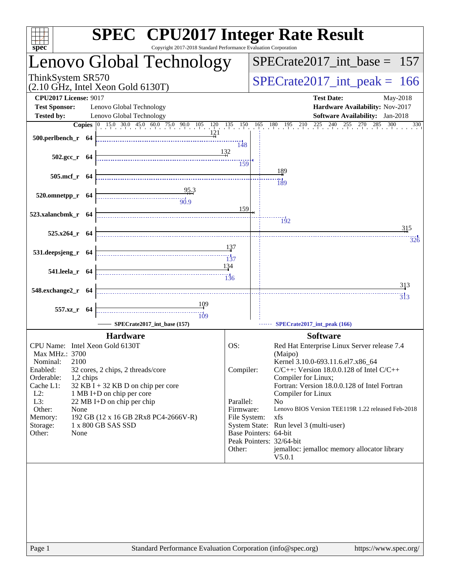| $spec^*$                                                                         |                                      | Copyright 2017-2018 Standard Performance Evaluation Corporation                                                                                       |                           |                                              | <b>SPEC<sup>®</sup> CPU2017 Integer Rate Result</b>                                                                 |  |  |  |
|----------------------------------------------------------------------------------|--------------------------------------|-------------------------------------------------------------------------------------------------------------------------------------------------------|---------------------------|----------------------------------------------|---------------------------------------------------------------------------------------------------------------------|--|--|--|
| Lenovo Global Technology                                                         |                                      |                                                                                                                                                       |                           | $SPECrate2017\_int\_base = 157$              |                                                                                                                     |  |  |  |
| ThinkSystem SR570<br>$(2.10 \text{ GHz}, \text{Intel Xeon Gold } 6130 \text{T})$ |                                      |                                                                                                                                                       |                           |                                              | $SPECrate2017\_int\_peak = 166$                                                                                     |  |  |  |
| <b>CPU2017 License: 9017</b>                                                     |                                      |                                                                                                                                                       |                           |                                              | <b>Test Date:</b><br>May-2018                                                                                       |  |  |  |
| <b>Test Sponsor:</b>                                                             | Lenovo Global Technology             |                                                                                                                                                       |                           |                                              | Hardware Availability: Nov-2017                                                                                     |  |  |  |
| <b>Tested by:</b>                                                                | Lenovo Global Technology             |                                                                                                                                                       |                           |                                              | <b>Software Availability:</b> Jan-2018<br>$180$ $195$ $210$ $225$ $240$ $255$ $270$ 2<br>$\frac{285}{1}$ 300<br>330 |  |  |  |
|                                                                                  |                                      | <b>Copies</b> $\begin{bmatrix} 0 & 15.0 & 30.0 & 45.0 & 60.0 & 75.0 & 90.0 & 105 & 120 & 135 & 150 & 165 \ 0 & 0 & 0 & 12 & 1 & 12 & 1 \end{bmatrix}$ |                           |                                              |                                                                                                                     |  |  |  |
| 500.perlbench_r 64                                                               |                                      |                                                                                                                                                       | 148                       |                                              |                                                                                                                     |  |  |  |
| $502.\text{gcc r}$ 64                                                            |                                      |                                                                                                                                                       | 132                       |                                              |                                                                                                                     |  |  |  |
|                                                                                  |                                      |                                                                                                                                                       | 159                       |                                              |                                                                                                                     |  |  |  |
| $505$ .mcf_r $64$                                                                |                                      |                                                                                                                                                       |                           |                                              | 189                                                                                                                 |  |  |  |
|                                                                                  |                                      | 95.3                                                                                                                                                  |                           |                                              | 189                                                                                                                 |  |  |  |
| 520.omnetpp_r 64                                                                 |                                      | $\frac{1}{90.9}$                                                                                                                                      |                           |                                              |                                                                                                                     |  |  |  |
|                                                                                  |                                      |                                                                                                                                                       | 159                       |                                              |                                                                                                                     |  |  |  |
| 523.xalancbmk_r 64                                                               |                                      |                                                                                                                                                       |                           |                                              | $\frac{1}{92}$                                                                                                      |  |  |  |
| 525.x264_r 64                                                                    |                                      |                                                                                                                                                       |                           |                                              | 315                                                                                                                 |  |  |  |
|                                                                                  |                                      |                                                                                                                                                       |                           |                                              | 326                                                                                                                 |  |  |  |
| 531.deepsjeng_r 64                                                               |                                      |                                                                                                                                                       | 137                       |                                              |                                                                                                                     |  |  |  |
|                                                                                  |                                      |                                                                                                                                                       | $\overline{137}$<br>134   |                                              |                                                                                                                     |  |  |  |
| 541.leela_r 64                                                                   |                                      |                                                                                                                                                       |                           |                                              |                                                                                                                     |  |  |  |
|                                                                                  |                                      |                                                                                                                                                       |                           |                                              | 313                                                                                                                 |  |  |  |
| 548.exchange2_r 64                                                               |                                      |                                                                                                                                                       |                           |                                              | $\overline{3}$ <sub>13</sub>                                                                                        |  |  |  |
| 557.xz_r 64                                                                      |                                      | <u>109</u>                                                                                                                                            |                           |                                              |                                                                                                                     |  |  |  |
|                                                                                  |                                      | $\dddot{109}$                                                                                                                                         |                           |                                              |                                                                                                                     |  |  |  |
|                                                                                  |                                      | SPECrate2017_int_base (157)                                                                                                                           |                           |                                              | SPECrate2017_int_peak (166)                                                                                         |  |  |  |
|                                                                                  | <b>Hardware</b>                      |                                                                                                                                                       |                           |                                              | <b>Software</b>                                                                                                     |  |  |  |
| CPU Name: Intel Xeon Gold 6130T<br>Max MHz.: 3700                                |                                      |                                                                                                                                                       | OS:                       |                                              | Red Hat Enterprise Linux Server release 7.4                                                                         |  |  |  |
| 2100<br>Nominal:                                                                 |                                      |                                                                                                                                                       |                           | (Maipo)<br>Kernel 3.10.0-693.11.6.el7.x86_64 |                                                                                                                     |  |  |  |
| Enabled:                                                                         | 32 cores, 2 chips, 2 threads/core    |                                                                                                                                                       | Compiler:                 |                                              | $C/C++$ : Version 18.0.0.128 of Intel $C/C++$                                                                       |  |  |  |
| Orderable:<br>1,2 chips<br>Cache L1:                                             | $32$ KB I + 32 KB D on chip per core |                                                                                                                                                       |                           |                                              | Compiler for Linux;<br>Fortran: Version 18.0.0.128 of Intel Fortran                                                 |  |  |  |
| $L2$ :                                                                           | 1 MB I+D on chip per core            |                                                                                                                                                       |                           |                                              | Compiler for Linux                                                                                                  |  |  |  |
| L3:                                                                              | 22 MB I+D on chip per chip           |                                                                                                                                                       | Parallel:                 |                                              | No                                                                                                                  |  |  |  |
| Other:<br>None<br>Memory:                                                        | 192 GB (12 x 16 GB 2Rx8 PC4-2666V-R) |                                                                                                                                                       | Firmware:<br>File System: |                                              | Lenovo BIOS Version TEE119R 1.22 released Feb-2018<br>xfs                                                           |  |  |  |
| Storage:                                                                         | 1 x 800 GB SAS SSD                   |                                                                                                                                                       |                           |                                              | System State: Run level 3 (multi-user)                                                                              |  |  |  |
| Other:<br>None                                                                   |                                      |                                                                                                                                                       |                           |                                              | Base Pointers: 64-bit                                                                                               |  |  |  |
|                                                                                  |                                      |                                                                                                                                                       | Other:                    |                                              | Peak Pointers: 32/64-bit<br>jemalloc: jemalloc memory allocator library                                             |  |  |  |
|                                                                                  |                                      |                                                                                                                                                       |                           |                                              | V5.0.1                                                                                                              |  |  |  |
|                                                                                  |                                      |                                                                                                                                                       |                           |                                              |                                                                                                                     |  |  |  |
| Page 1                                                                           |                                      | Standard Performance Evaluation Corporation (info@spec.org)                                                                                           |                           |                                              | https://www.spec.org/                                                                                               |  |  |  |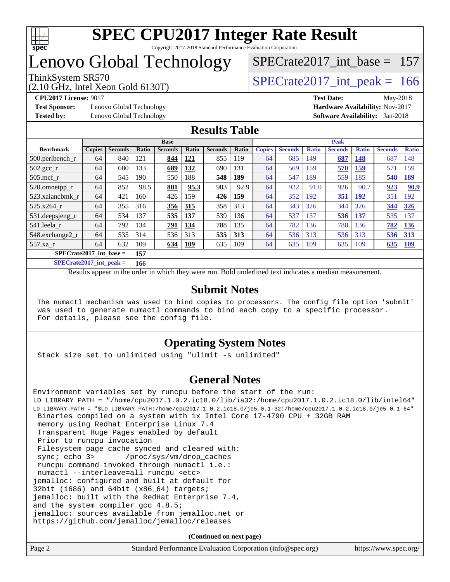

# Lenovo Global Technology

### ThinkSystem SR570<br>  $\angle (2.10 \text{ GHz. Intel Yoon Gold } 6130 \text{T})$   $\angle$  [SPECrate2017\\_int\\_peak =](http://www.spec.org/auto/cpu2017/Docs/result-fields.html#SPECrate2017intpeak) 166 [SPECrate2017\\_int\\_base =](http://www.spec.org/auto/cpu2017/Docs/result-fields.html#SPECrate2017intbase) 157

(2.10 GHz, Intel Xeon Gold 6130T)

**[Test Sponsor:](http://www.spec.org/auto/cpu2017/Docs/result-fields.html#TestSponsor)** Lenovo Global Technology **[Hardware Availability:](http://www.spec.org/auto/cpu2017/Docs/result-fields.html#HardwareAvailability)** Nov-2017 **[Tested by:](http://www.spec.org/auto/cpu2017/Docs/result-fields.html#Testedby)** Lenovo Global Technology **[Software Availability:](http://www.spec.org/auto/cpu2017/Docs/result-fields.html#SoftwareAvailability)** Jan-2018

**[CPU2017 License:](http://www.spec.org/auto/cpu2017/Docs/result-fields.html#CPU2017License)** 9017 **[Test Date:](http://www.spec.org/auto/cpu2017/Docs/result-fields.html#TestDate)** May-2018

#### **[Results Table](http://www.spec.org/auto/cpu2017/Docs/result-fields.html#ResultsTable)**

|                                  | <b>Base</b>   |                |       |                |              | <b>Peak</b>    |       |               |                |              |                |              |                |              |
|----------------------------------|---------------|----------------|-------|----------------|--------------|----------------|-------|---------------|----------------|--------------|----------------|--------------|----------------|--------------|
| <b>Benchmark</b>                 | <b>Copies</b> | <b>Seconds</b> | Ratio | <b>Seconds</b> | <b>Ratio</b> | <b>Seconds</b> | Ratio | <b>Copies</b> | <b>Seconds</b> | <b>Ratio</b> | <b>Seconds</b> | <b>Ratio</b> | <b>Seconds</b> | <b>Ratio</b> |
| $500$ .perlbench r               | 64            | 840            | 121   | 844            | 121          | 855            | 119   | 64            | 685            | 149          | 687            | 148          | 687            | 148          |
| 502.gcc_r                        | 64            | 680            | 133   | 689            | 132          | 690            | 131   | 64            | 569            | 159          | 570            | 159          | 571            | 159          |
| $505$ .mcf r                     | 64            | 545            | 190   | 550            | 188          | 548            | 189   | 64            | 547            | 189          | 559            | 185          | 548            | <u>189</u>   |
| 520.omnetpp_r                    | 64            | 852            | 98.5  | 881            | 95.3         | 903            | 92.9  | 64            | 922            | 91.0         | 926            | 90.7         | 923            | 90.9         |
| 523.xalancbmk r                  | 64            | 421            | 160   | 426            | 159          | 426            | 159   | 64            | 352            | 192          | 351            | 192          | 351            | 192          |
| 525.x264 r                       | 64            | 355            | 316   | 356            | 315          | 358            | 313   | 64            | 343            | 326          | 344            | 326          | 344            | 326          |
| 531.deepsjeng_r                  | 64            | 534            | 137   | 535            | 137          | 539            | 136   | 64            | 537            | 137          | 536            | 137          | 535            | 137          |
| 541.leela r                      | 64            | 792            | 134   | 791            | 134          | 788            | 135   | 64            | 782            | 136          | 780            | 136          | 782            | 136          |
| 548.exchange2 r                  | 64            | 535            | 314   | 536            | 313          | 535            | 313   | 64            | 536            | 313          | 536            | 313          | 536            | 313          |
| $557.xz$ r                       | 64            | 632            | 109   | 634            | 109          | 635            | 109   | 64            | 635            | 109          | 635            | 109          | 635            | <u>109</u>   |
| $SPECrate2017$ int base =<br>157 |               |                |       |                |              |                |       |               |                |              |                |              |                |              |

**[SPECrate2017\\_int\\_peak =](http://www.spec.org/auto/cpu2017/Docs/result-fields.html#SPECrate2017intpeak) 166**

Results appear in the [order in which they were run.](http://www.spec.org/auto/cpu2017/Docs/result-fields.html#RunOrder) Bold underlined text [indicates a median measurement.](http://www.spec.org/auto/cpu2017/Docs/result-fields.html#Median)

#### **[Submit Notes](http://www.spec.org/auto/cpu2017/Docs/result-fields.html#SubmitNotes)**

 The numactl mechanism was used to bind copies to processors. The config file option 'submit' was used to generate numactl commands to bind each copy to a specific processor. For details, please see the config file.

#### **[Operating System Notes](http://www.spec.org/auto/cpu2017/Docs/result-fields.html#OperatingSystemNotes)**

Stack size set to unlimited using "ulimit -s unlimited"

#### **[General Notes](http://www.spec.org/auto/cpu2017/Docs/result-fields.html#GeneralNotes)**

Environment variables set by runcpu before the start of the run: LD\_LIBRARY\_PATH = "/home/cpu2017.1.0.2.ic18.0/lib/ia32:/home/cpu2017.1.0.2.ic18.0/lib/intel64" LD\_LIBRARY\_PATH = "\$LD\_LIBRARY\_PATH:/home/cpu2017.1.0.2.ic18.0/je5.0.1-32:/home/cpu2017.1.0.2.ic18.0/je5.0.1-64" Binaries compiled on a system with 1x Intel Core i7-4790 CPU + 32GB RAM memory using Redhat Enterprise Linux 7.4 Transparent Huge Pages enabled by default Prior to runcpu invocation Filesystem page cache synced and cleared with: sync; echo 3> /proc/sys/vm/drop\_caches runcpu command invoked through numactl i.e.: numactl --interleave=all runcpu <etc> jemalloc: configured and built at default for 32bit (i686) and 64bit (x86\_64) targets; jemalloc: built with the RedHat Enterprise 7.4, and the system compiler gcc 4.8.5; jemalloc: sources available from jemalloc.net or <https://github.com/jemalloc/jemalloc/releases>

**(Continued on next page)**

| Page 2 | Standard Performance Evaluation Corporation (info@spec.org) | https://www.spec.org/ |
|--------|-------------------------------------------------------------|-----------------------|
|--------|-------------------------------------------------------------|-----------------------|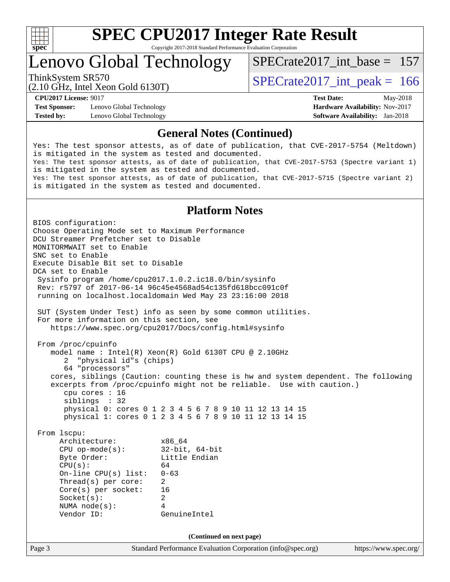

Lenovo Global Technology

ThinkSystem SR570<br>  $\angle (2.10 \text{ GHz. Intel Yoon Gold } 6130 \text{T})$   $\angle$  [SPECrate2017\\_int\\_peak =](http://www.spec.org/auto/cpu2017/Docs/result-fields.html#SPECrate2017intpeak) 166 [SPECrate2017\\_int\\_base =](http://www.spec.org/auto/cpu2017/Docs/result-fields.html#SPECrate2017intbase) 157

(2.10 GHz, Intel Xeon Gold 6130T)

**[Test Sponsor:](http://www.spec.org/auto/cpu2017/Docs/result-fields.html#TestSponsor)** Lenovo Global Technology **[Hardware Availability:](http://www.spec.org/auto/cpu2017/Docs/result-fields.html#HardwareAvailability)** Nov-2017 **[Tested by:](http://www.spec.org/auto/cpu2017/Docs/result-fields.html#Testedby)** Lenovo Global Technology **[Software Availability:](http://www.spec.org/auto/cpu2017/Docs/result-fields.html#SoftwareAvailability)** Jan-2018

**[CPU2017 License:](http://www.spec.org/auto/cpu2017/Docs/result-fields.html#CPU2017License)** 9017 **[Test Date:](http://www.spec.org/auto/cpu2017/Docs/result-fields.html#TestDate)** May-2018

#### **[General Notes \(Continued\)](http://www.spec.org/auto/cpu2017/Docs/result-fields.html#GeneralNotes)**

Yes: The test sponsor attests, as of date of publication, that CVE-2017-5754 (Meltdown) is mitigated in the system as tested and documented. Yes: The test sponsor attests, as of date of publication, that CVE-2017-5753 (Spectre variant 1) is mitigated in the system as tested and documented. Yes: The test sponsor attests, as of date of publication, that CVE-2017-5715 (Spectre variant 2) is mitigated in the system as tested and documented.

#### **[Platform Notes](http://www.spec.org/auto/cpu2017/Docs/result-fields.html#PlatformNotes)**

Page 3 Standard Performance Evaluation Corporation [\(info@spec.org\)](mailto:info@spec.org) <https://www.spec.org/> BIOS configuration: Choose Operating Mode set to Maximum Performance DCU Streamer Prefetcher set to Disable MONITORMWAIT set to Enable SNC set to Enable Execute Disable Bit set to Disable DCA set to Enable Sysinfo program /home/cpu2017.1.0.2.ic18.0/bin/sysinfo Rev: r5797 of 2017-06-14 96c45e4568ad54c135fd618bcc091c0f running on localhost.localdomain Wed May 23 23:16:00 2018 SUT (System Under Test) info as seen by some common utilities. For more information on this section, see <https://www.spec.org/cpu2017/Docs/config.html#sysinfo> From /proc/cpuinfo model name : Intel(R) Xeon(R) Gold 6130T CPU @ 2.10GHz 2 "physical id"s (chips) 64 "processors" cores, siblings (Caution: counting these is hw and system dependent. The following excerpts from /proc/cpuinfo might not be reliable. Use with caution.) cpu cores : 16 siblings : 32 physical 0: cores 0 1 2 3 4 5 6 7 8 9 10 11 12 13 14 15 physical 1: cores 0 1 2 3 4 5 6 7 8 9 10 11 12 13 14 15 From lscpu: Architecture: x86\_64 CPU op-mode(s): 32-bit, 64-bit Byte Order: Little Endian  $CPU(s):$  64 On-line CPU(s) list: 0-63 Thread(s) per core: 2 Core(s) per socket: 16 Socket(s): 2 NUMA node(s): 4 Vendor ID: GenuineIntel **(Continued on next page)**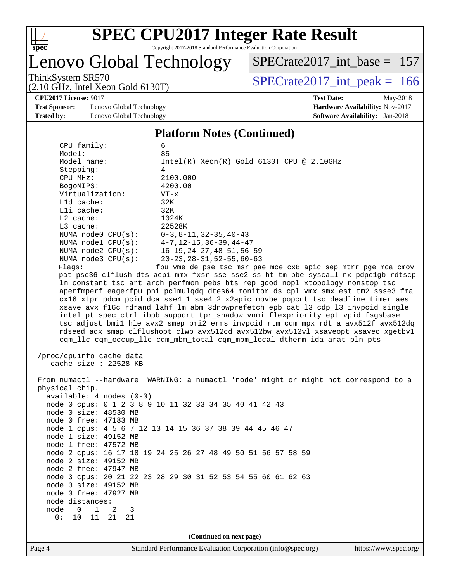

# Lenovo Global Technology

ThinkSystem SR570<br>  $(2.10 \text{ GHz})$  Intel Xeon Gold 6130T) [SPECrate2017\\_int\\_base =](http://www.spec.org/auto/cpu2017/Docs/result-fields.html#SPECrate2017intbase) 157

(2.10 GHz, Intel Xeon Gold 6130T)

**[Test Sponsor:](http://www.spec.org/auto/cpu2017/Docs/result-fields.html#TestSponsor)** Lenovo Global Technology **[Hardware Availability:](http://www.spec.org/auto/cpu2017/Docs/result-fields.html#HardwareAvailability)** Nov-2017 **[Tested by:](http://www.spec.org/auto/cpu2017/Docs/result-fields.html#Testedby)** Lenovo Global Technology **[Software Availability:](http://www.spec.org/auto/cpu2017/Docs/result-fields.html#SoftwareAvailability)** Jan-2018

# **[CPU2017 License:](http://www.spec.org/auto/cpu2017/Docs/result-fields.html#CPU2017License)** 9017 **[Test Date:](http://www.spec.org/auto/cpu2017/Docs/result-fields.html#TestDate)** May-2018

#### **[Platform Notes \(Continued\)](http://www.spec.org/auto/cpu2017/Docs/result-fields.html#PlatformNotes)**

| CPU family:                                                                                                                                                                                                                                                                                                                                                                                                                                                                                                                                                                                                                                                                                                                                                                                                                                             | 6                                                                                                                                              |  |  |  |  |  |  |
|---------------------------------------------------------------------------------------------------------------------------------------------------------------------------------------------------------------------------------------------------------------------------------------------------------------------------------------------------------------------------------------------------------------------------------------------------------------------------------------------------------------------------------------------------------------------------------------------------------------------------------------------------------------------------------------------------------------------------------------------------------------------------------------------------------------------------------------------------------|------------------------------------------------------------------------------------------------------------------------------------------------|--|--|--|--|--|--|
| Model:                                                                                                                                                                                                                                                                                                                                                                                                                                                                                                                                                                                                                                                                                                                                                                                                                                                  | 85                                                                                                                                             |  |  |  |  |  |  |
| Model name:                                                                                                                                                                                                                                                                                                                                                                                                                                                                                                                                                                                                                                                                                                                                                                                                                                             | $Intel(R) Xeon(R) Gold 6130T CPU @ 2.10GHz$                                                                                                    |  |  |  |  |  |  |
| Stepping:                                                                                                                                                                                                                                                                                                                                                                                                                                                                                                                                                                                                                                                                                                                                                                                                                                               | 4                                                                                                                                              |  |  |  |  |  |  |
| CPU MHz:                                                                                                                                                                                                                                                                                                                                                                                                                                                                                                                                                                                                                                                                                                                                                                                                                                                | 2100.000                                                                                                                                       |  |  |  |  |  |  |
| BogoMIPS:                                                                                                                                                                                                                                                                                                                                                                                                                                                                                                                                                                                                                                                                                                                                                                                                                                               | 4200.00                                                                                                                                        |  |  |  |  |  |  |
| Virtualization:                                                                                                                                                                                                                                                                                                                                                                                                                                                                                                                                                                                                                                                                                                                                                                                                                                         | $VT - x$                                                                                                                                       |  |  |  |  |  |  |
| Lld cache:                                                                                                                                                                                                                                                                                                                                                                                                                                                                                                                                                                                                                                                                                                                                                                                                                                              | 32K                                                                                                                                            |  |  |  |  |  |  |
| Lli cache:                                                                                                                                                                                                                                                                                                                                                                                                                                                                                                                                                                                                                                                                                                                                                                                                                                              | 32K                                                                                                                                            |  |  |  |  |  |  |
| L2 cache:                                                                                                                                                                                                                                                                                                                                                                                                                                                                                                                                                                                                                                                                                                                                                                                                                                               | 1024K                                                                                                                                          |  |  |  |  |  |  |
| L3 cache:                                                                                                                                                                                                                                                                                                                                                                                                                                                                                                                                                                                                                                                                                                                                                                                                                                               | 22528K                                                                                                                                         |  |  |  |  |  |  |
| NUMA node0 CPU(s):                                                                                                                                                                                                                                                                                                                                                                                                                                                                                                                                                                                                                                                                                                                                                                                                                                      | $0-3, 8-11, 32-35, 40-43$                                                                                                                      |  |  |  |  |  |  |
|                                                                                                                                                                                                                                                                                                                                                                                                                                                                                                                                                                                                                                                                                                                                                                                                                                                         | NUMA nodel CPU(s): 4-7, 12-15, 36-39, 44-47                                                                                                    |  |  |  |  |  |  |
| NUMA $node2$ $CPU(s):$<br>NUMA $node3$ $CPU(s):$                                                                                                                                                                                                                                                                                                                                                                                                                                                                                                                                                                                                                                                                                                                                                                                                        | $16 - 19, 24 - 27, 48 - 51, 56 - 59$<br>$20 - 23$ , $28 - 31$ , $52 - 55$ , $60 - 63$                                                          |  |  |  |  |  |  |
|                                                                                                                                                                                                                                                                                                                                                                                                                                                                                                                                                                                                                                                                                                                                                                                                                                                         |                                                                                                                                                |  |  |  |  |  |  |
| fpu vme de pse tsc msr pae mce cx8 apic sep mtrr pge mca cmov<br>Flaqs:<br>pat pse36 clflush dts acpi mmx fxsr sse sse2 ss ht tm pbe syscall nx pdpelgb rdtscp<br>lm constant_tsc art arch_perfmon pebs bts rep_good nopl xtopology nonstop_tsc<br>aperfmperf eagerfpu pni pclmulqdq dtes64 monitor ds_cpl vmx smx est tm2 ssse3 fma<br>cx16 xtpr pdcm pcid dca sse4_1 sse4_2 x2apic movbe popcnt tsc_deadline_timer aes<br>xsave avx f16c rdrand lahf_lm abm 3dnowprefetch epb cat_13 cdp_13 invpcid_single<br>intel_pt spec_ctrl ibpb_support tpr_shadow vnmi flexpriority ept vpid fsgsbase<br>tsc_adjust bmil hle avx2 smep bmi2 erms invpcid rtm cqm mpx rdt_a avx512f avx512dq<br>rdseed adx smap clflushopt clwb avx512cd avx512bw avx512vl xsaveopt xsavec xgetbvl<br>cqm_llc cqm_occup_llc cqm_mbm_total cqm_mbm_local dtherm ida arat pln pts |                                                                                                                                                |  |  |  |  |  |  |
| /proc/cpuinfo cache data<br>cache size : 22528 KB                                                                                                                                                                                                                                                                                                                                                                                                                                                                                                                                                                                                                                                                                                                                                                                                       |                                                                                                                                                |  |  |  |  |  |  |
| physical chip.<br>$available: 4 nodes (0-3)$                                                                                                                                                                                                                                                                                                                                                                                                                                                                                                                                                                                                                                                                                                                                                                                                            | From numactl --hardware WARNING: a numactl 'node' might or might not correspond to a<br>node 0 cpus: 0 1 2 3 8 9 10 11 32 33 34 35 40 41 42 43 |  |  |  |  |  |  |
| node 0 size: 48530 MB                                                                                                                                                                                                                                                                                                                                                                                                                                                                                                                                                                                                                                                                                                                                                                                                                                   |                                                                                                                                                |  |  |  |  |  |  |
| node 0 free: 47183 MB                                                                                                                                                                                                                                                                                                                                                                                                                                                                                                                                                                                                                                                                                                                                                                                                                                   |                                                                                                                                                |  |  |  |  |  |  |
|                                                                                                                                                                                                                                                                                                                                                                                                                                                                                                                                                                                                                                                                                                                                                                                                                                                         | node 1 cpus: 4 5 6 7 12 13 14 15 36 37 38 39 44 45 46 47                                                                                       |  |  |  |  |  |  |
| node 1 size: 49152 MB                                                                                                                                                                                                                                                                                                                                                                                                                                                                                                                                                                                                                                                                                                                                                                                                                                   |                                                                                                                                                |  |  |  |  |  |  |
| node 1 free: 47572 MB                                                                                                                                                                                                                                                                                                                                                                                                                                                                                                                                                                                                                                                                                                                                                                                                                                   |                                                                                                                                                |  |  |  |  |  |  |
|                                                                                                                                                                                                                                                                                                                                                                                                                                                                                                                                                                                                                                                                                                                                                                                                                                                         | node 2 cpus: 16 17 18 19 24 25 26 27 48 49 50 51 56 57 58 59                                                                                   |  |  |  |  |  |  |
| node 2 size: 49152 MB                                                                                                                                                                                                                                                                                                                                                                                                                                                                                                                                                                                                                                                                                                                                                                                                                                   |                                                                                                                                                |  |  |  |  |  |  |
| node 2 free: 47947 MB                                                                                                                                                                                                                                                                                                                                                                                                                                                                                                                                                                                                                                                                                                                                                                                                                                   |                                                                                                                                                |  |  |  |  |  |  |
|                                                                                                                                                                                                                                                                                                                                                                                                                                                                                                                                                                                                                                                                                                                                                                                                                                                         | node 3 cpus: 20 21 22 23 28 29 30 31 52 53 54 55 60 61 62 63                                                                                   |  |  |  |  |  |  |
| node 3 size: 49152 MB                                                                                                                                                                                                                                                                                                                                                                                                                                                                                                                                                                                                                                                                                                                                                                                                                                   |                                                                                                                                                |  |  |  |  |  |  |
| node 3 free: 47927 MB                                                                                                                                                                                                                                                                                                                                                                                                                                                                                                                                                                                                                                                                                                                                                                                                                                   |                                                                                                                                                |  |  |  |  |  |  |
| node distances:                                                                                                                                                                                                                                                                                                                                                                                                                                                                                                                                                                                                                                                                                                                                                                                                                                         |                                                                                                                                                |  |  |  |  |  |  |
| node<br>$\overline{0}$<br>$\mathbf{1}$<br>2<br>3                                                                                                                                                                                                                                                                                                                                                                                                                                                                                                                                                                                                                                                                                                                                                                                                        |                                                                                                                                                |  |  |  |  |  |  |
| 0:<br>10 11<br>21<br>21                                                                                                                                                                                                                                                                                                                                                                                                                                                                                                                                                                                                                                                                                                                                                                                                                                 |                                                                                                                                                |  |  |  |  |  |  |
|                                                                                                                                                                                                                                                                                                                                                                                                                                                                                                                                                                                                                                                                                                                                                                                                                                                         | (Continued on next page)                                                                                                                       |  |  |  |  |  |  |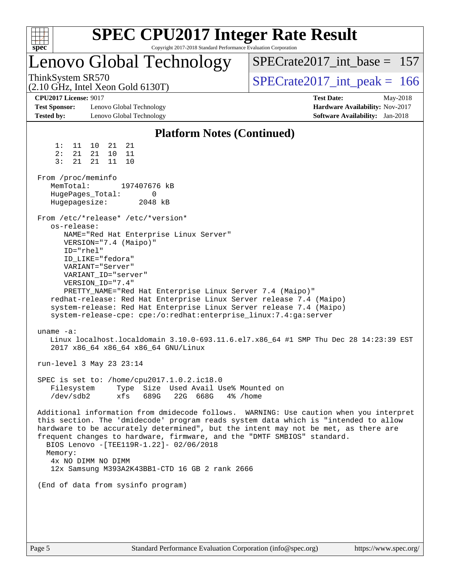| $spec^*$                                                                         |                                                                                                                                                                                          |                              | Copyright 2017-2018 Standard Performance Evaluation Corporation           |          | <b>SPEC CPU2017 Integer Rate Result</b>                                                                                                                                                                                                                                                                                                        |  |  |  |
|----------------------------------------------------------------------------------|------------------------------------------------------------------------------------------------------------------------------------------------------------------------------------------|------------------------------|---------------------------------------------------------------------------|----------|------------------------------------------------------------------------------------------------------------------------------------------------------------------------------------------------------------------------------------------------------------------------------------------------------------------------------------------------|--|--|--|
| Lenovo Global Technology                                                         |                                                                                                                                                                                          |                              |                                                                           |          | $SPECrate2017\_int\_base = 157$                                                                                                                                                                                                                                                                                                                |  |  |  |
| ThinkSystem SR570<br>$(2.10 \text{ GHz}, \text{Intel Xeon Gold } 6130 \text{T})$ |                                                                                                                                                                                          |                              |                                                                           |          | $SPECrate2017\_int\_peak = 166$                                                                                                                                                                                                                                                                                                                |  |  |  |
| <b>CPU2017 License: 9017</b><br><b>Test Sponsor:</b><br><b>Tested by:</b>        |                                                                                                                                                                                          | <b>Test Date:</b>            | Hardware Availability: Nov-2017<br><b>Software Availability:</b> Jan-2018 | May-2018 |                                                                                                                                                                                                                                                                                                                                                |  |  |  |
|                                                                                  |                                                                                                                                                                                          |                              | <b>Platform Notes (Continued)</b>                                         |          |                                                                                                                                                                                                                                                                                                                                                |  |  |  |
| 1:<br>11<br>2 :<br>21<br>3:<br>21                                                | 21<br>10<br>21<br>21<br>10<br>11<br>21<br>11<br>10                                                                                                                                       |                              |                                                                           |          |                                                                                                                                                                                                                                                                                                                                                |  |  |  |
| From /proc/meminfo<br>MemTotal:<br>HugePages_Total:<br>Hugepagesize:             |                                                                                                                                                                                          | 197407676 kB<br>0<br>2048 kB |                                                                           |          |                                                                                                                                                                                                                                                                                                                                                |  |  |  |
| os-release:<br>ID="rhel"                                                         | From /etc/*release* /etc/*version*<br>NAME="Red Hat Enterprise Linux Server"<br>VERSION="7.4 (Maipo)"<br>ID LIKE="fedora"<br>VARIANT="Server"<br>VARIANT ID="server"<br>VERSION_ID="7.4" |                              |                                                                           |          | PRETTY_NAME="Red Hat Enterprise Linux Server 7.4 (Maipo)"<br>redhat-release: Red Hat Enterprise Linux Server release 7.4 (Maipo)<br>system-release: Red Hat Enterprise Linux Server release 7.4 (Maipo)<br>system-release-cpe: cpe:/o:redhat:enterprise_linux:7.4:ga:server                                                                    |  |  |  |
| uname $-a$ :                                                                     | 2017 x86_64 x86_64 x86_64 GNU/Linux                                                                                                                                                      |                              |                                                                           |          | Linux localhost.localdomain 3.10.0-693.11.6.el7.x86_64 #1 SMP Thu Dec 28 14:23:39 EST                                                                                                                                                                                                                                                          |  |  |  |
|                                                                                  | run-level 3 May 23 23:14                                                                                                                                                                 |                              |                                                                           |          |                                                                                                                                                                                                                                                                                                                                                |  |  |  |
| Filesystem<br>$/\text{dev}/\text{sdb}$                                           | SPEC is set to: /home/cpu2017.1.0.2.ic18.0<br>xfs                                                                                                                                        | 689G                         | Type Size Used Avail Use% Mounted on<br>22G 668G                          | 4% /home |                                                                                                                                                                                                                                                                                                                                                |  |  |  |
| Memory:                                                                          | BIOS Lenovo -[TEE119R-1.22]- 02/06/2018<br>4x NO DIMM NO DIMM<br>12x Samsung M393A2K43BB1-CTD 16 GB 2 rank 2666                                                                          |                              |                                                                           |          | Additional information from dmidecode follows. WARNING: Use caution when you interpret<br>this section. The 'dmidecode' program reads system data which is "intended to allow<br>hardware to be accurately determined", but the intent may not be met, as there are<br>frequent changes to hardware, firmware, and the "DMTF SMBIOS" standard. |  |  |  |
|                                                                                  | (End of data from sysinfo program)                                                                                                                                                       |                              |                                                                           |          |                                                                                                                                                                                                                                                                                                                                                |  |  |  |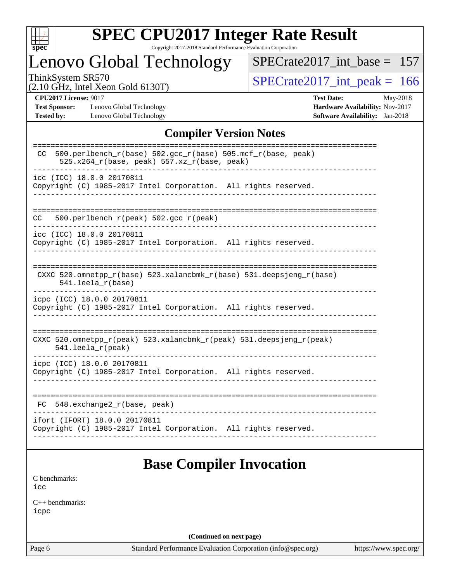

# **[SPEC CPU2017 Integer Rate Result](http://www.spec.org/auto/cpu2017/Docs/result-fields.html#SPECCPU2017IntegerRateResult)**

Copyright 2017-2018 Standard Performance Evaluation Corporation

# Lenovo Global Technology

[SPECrate2017\\_int\\_base =](http://www.spec.org/auto/cpu2017/Docs/result-fields.html#SPECrate2017intbase) 157

(2.10 GHz, Intel Xeon Gold 6130T)

ThinkSystem SR570<br>  $(2.10 \text{ GHz})$  Intel Xeon Gold 6130T)

**[Test Sponsor:](http://www.spec.org/auto/cpu2017/Docs/result-fields.html#TestSponsor)** Lenovo Global Technology **[Hardware Availability:](http://www.spec.org/auto/cpu2017/Docs/result-fields.html#HardwareAvailability)** Nov-2017 **[Tested by:](http://www.spec.org/auto/cpu2017/Docs/result-fields.html#Testedby)** Lenovo Global Technology **[Software Availability:](http://www.spec.org/auto/cpu2017/Docs/result-fields.html#SoftwareAvailability)** Jan-2018

**[CPU2017 License:](http://www.spec.org/auto/cpu2017/Docs/result-fields.html#CPU2017License)** 9017 **[Test Date:](http://www.spec.org/auto/cpu2017/Docs/result-fields.html#TestDate)** May-2018

#### **[Compiler Version Notes](http://www.spec.org/auto/cpu2017/Docs/result-fields.html#CompilerVersionNotes)**

| 500.perlbench_r(base) 502.gcc_r(base) 505.mcf_r(base, peak)<br>CC.<br>525.x264_r(base, peak) 557.xz_r(base, peak) |
|-------------------------------------------------------------------------------------------------------------------|
| icc (ICC) 18.0.0 20170811<br>Copyright (C) 1985-2017 Intel Corporation. All rights reserved.                      |
| 500.perlbench_r(peak) 502.gcc_r(peak)<br>CC                                                                       |
| icc (ICC) 18.0.0 20170811<br>Copyright (C) 1985-2017 Intel Corporation. All rights reserved.                      |
| CXXC 520.omnetpp_r(base) 523.xalancbmk_r(base) 531.deepsjeng_r(base)<br>$541.$ leela $r(base)$                    |
| icpc (ICC) 18.0.0 20170811<br>Copyright (C) 1985-2017 Intel Corporation. All rights reserved.                     |
| CXXC 520.omnetpp_r(peak) 523.xalancbmk_r(peak) 531.deepsjeng_r(peak)<br>$541.$ leela_r(peak)                      |
| icpc (ICC) 18.0.0 20170811<br>Copyright (C) 1985-2017 Intel Corporation. All rights reserved.                     |
| 548.exchange2_r(base, peak)<br>FC.                                                                                |
| ifort (IFORT) 18.0.0 20170811<br>Copyright (C) 1985-2017 Intel Corporation. All rights reserved.                  |

# **[Base Compiler Invocation](http://www.spec.org/auto/cpu2017/Docs/result-fields.html#BaseCompilerInvocation)**

[C benchmarks](http://www.spec.org/auto/cpu2017/Docs/result-fields.html#Cbenchmarks): [icc](http://www.spec.org/cpu2017/results/res2018q2/cpu2017-20180529-06361.flags.html#user_CCbase_intel_icc_18.0_66fc1ee009f7361af1fbd72ca7dcefbb700085f36577c54f309893dd4ec40d12360134090235512931783d35fd58c0460139e722d5067c5574d8eaf2b3e37e92)

[C++ benchmarks:](http://www.spec.org/auto/cpu2017/Docs/result-fields.html#CXXbenchmarks) [icpc](http://www.spec.org/cpu2017/results/res2018q2/cpu2017-20180529-06361.flags.html#user_CXXbase_intel_icpc_18.0_c510b6838c7f56d33e37e94d029a35b4a7bccf4766a728ee175e80a419847e808290a9b78be685c44ab727ea267ec2f070ec5dc83b407c0218cded6866a35d07)

**(Continued on next page)**

Page 6 Standard Performance Evaluation Corporation [\(info@spec.org\)](mailto:info@spec.org) <https://www.spec.org/>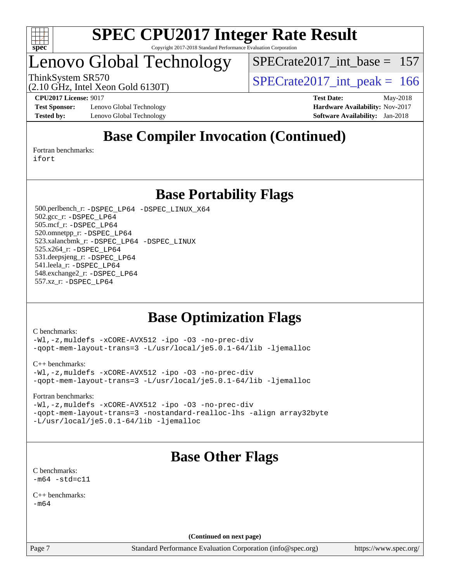

# Lenovo Global Technology

[SPECrate2017\\_int\\_base =](http://www.spec.org/auto/cpu2017/Docs/result-fields.html#SPECrate2017intbase) 157

(2.10 GHz, Intel Xeon Gold 6130T)

ThinkSystem SR570<br>  $\binom{210 \text{ CH}_7 \text{ Intel Year Gold 6130T}}{SPECrate2017\_int\_peak} = 166$ 

**[Test Sponsor:](http://www.spec.org/auto/cpu2017/Docs/result-fields.html#TestSponsor)** Lenovo Global Technology **[Hardware Availability:](http://www.spec.org/auto/cpu2017/Docs/result-fields.html#HardwareAvailability)** Nov-2017 **[Tested by:](http://www.spec.org/auto/cpu2017/Docs/result-fields.html#Testedby)** Lenovo Global Technology **[Software Availability:](http://www.spec.org/auto/cpu2017/Docs/result-fields.html#SoftwareAvailability)** Jan-2018

**[CPU2017 License:](http://www.spec.org/auto/cpu2017/Docs/result-fields.html#CPU2017License)** 9017 **[Test Date:](http://www.spec.org/auto/cpu2017/Docs/result-fields.html#TestDate)** May-2018

# **[Base Compiler Invocation \(Continued\)](http://www.spec.org/auto/cpu2017/Docs/result-fields.html#BaseCompilerInvocation)**

[Fortran benchmarks](http://www.spec.org/auto/cpu2017/Docs/result-fields.html#Fortranbenchmarks): [ifort](http://www.spec.org/cpu2017/results/res2018q2/cpu2017-20180529-06361.flags.html#user_FCbase_intel_ifort_18.0_8111460550e3ca792625aed983ce982f94888b8b503583aa7ba2b8303487b4d8a21a13e7191a45c5fd58ff318f48f9492884d4413fa793fd88dd292cad7027ca)

**[Base Portability Flags](http://www.spec.org/auto/cpu2017/Docs/result-fields.html#BasePortabilityFlags)**

 500.perlbench\_r: [-DSPEC\\_LP64](http://www.spec.org/cpu2017/results/res2018q2/cpu2017-20180529-06361.flags.html#b500.perlbench_r_basePORTABILITY_DSPEC_LP64) [-DSPEC\\_LINUX\\_X64](http://www.spec.org/cpu2017/results/res2018q2/cpu2017-20180529-06361.flags.html#b500.perlbench_r_baseCPORTABILITY_DSPEC_LINUX_X64) 502.gcc\_r: [-DSPEC\\_LP64](http://www.spec.org/cpu2017/results/res2018q2/cpu2017-20180529-06361.flags.html#suite_basePORTABILITY502_gcc_r_DSPEC_LP64) 505.mcf\_r: [-DSPEC\\_LP64](http://www.spec.org/cpu2017/results/res2018q2/cpu2017-20180529-06361.flags.html#suite_basePORTABILITY505_mcf_r_DSPEC_LP64) 520.omnetpp\_r: [-DSPEC\\_LP64](http://www.spec.org/cpu2017/results/res2018q2/cpu2017-20180529-06361.flags.html#suite_basePORTABILITY520_omnetpp_r_DSPEC_LP64) 523.xalancbmk\_r: [-DSPEC\\_LP64](http://www.spec.org/cpu2017/results/res2018q2/cpu2017-20180529-06361.flags.html#suite_basePORTABILITY523_xalancbmk_r_DSPEC_LP64) [-DSPEC\\_LINUX](http://www.spec.org/cpu2017/results/res2018q2/cpu2017-20180529-06361.flags.html#b523.xalancbmk_r_baseCXXPORTABILITY_DSPEC_LINUX) 525.x264\_r: [-DSPEC\\_LP64](http://www.spec.org/cpu2017/results/res2018q2/cpu2017-20180529-06361.flags.html#suite_basePORTABILITY525_x264_r_DSPEC_LP64) 531.deepsjeng\_r: [-DSPEC\\_LP64](http://www.spec.org/cpu2017/results/res2018q2/cpu2017-20180529-06361.flags.html#suite_basePORTABILITY531_deepsjeng_r_DSPEC_LP64) 541.leela\_r: [-DSPEC\\_LP64](http://www.spec.org/cpu2017/results/res2018q2/cpu2017-20180529-06361.flags.html#suite_basePORTABILITY541_leela_r_DSPEC_LP64) 548.exchange2\_r: [-DSPEC\\_LP64](http://www.spec.org/cpu2017/results/res2018q2/cpu2017-20180529-06361.flags.html#suite_basePORTABILITY548_exchange2_r_DSPEC_LP64) 557.xz\_r: [-DSPEC\\_LP64](http://www.spec.org/cpu2017/results/res2018q2/cpu2017-20180529-06361.flags.html#suite_basePORTABILITY557_xz_r_DSPEC_LP64)

# **[Base Optimization Flags](http://www.spec.org/auto/cpu2017/Docs/result-fields.html#BaseOptimizationFlags)**

[C benchmarks](http://www.spec.org/auto/cpu2017/Docs/result-fields.html#Cbenchmarks):

[-Wl,-z,muldefs](http://www.spec.org/cpu2017/results/res2018q2/cpu2017-20180529-06361.flags.html#user_CCbase_link_force_multiple1_b4cbdb97b34bdee9ceefcfe54f4c8ea74255f0b02a4b23e853cdb0e18eb4525ac79b5a88067c842dd0ee6996c24547a27a4b99331201badda8798ef8a743f577) [-xCORE-AVX512](http://www.spec.org/cpu2017/results/res2018q2/cpu2017-20180529-06361.flags.html#user_CCbase_f-xCORE-AVX512) [-ipo](http://www.spec.org/cpu2017/results/res2018q2/cpu2017-20180529-06361.flags.html#user_CCbase_f-ipo) [-O3](http://www.spec.org/cpu2017/results/res2018q2/cpu2017-20180529-06361.flags.html#user_CCbase_f-O3) [-no-prec-div](http://www.spec.org/cpu2017/results/res2018q2/cpu2017-20180529-06361.flags.html#user_CCbase_f-no-prec-div) [-qopt-mem-layout-trans=3](http://www.spec.org/cpu2017/results/res2018q2/cpu2017-20180529-06361.flags.html#user_CCbase_f-qopt-mem-layout-trans_de80db37974c74b1f0e20d883f0b675c88c3b01e9d123adea9b28688d64333345fb62bc4a798493513fdb68f60282f9a726aa07f478b2f7113531aecce732043) [-L/usr/local/je5.0.1-64/lib](http://www.spec.org/cpu2017/results/res2018q2/cpu2017-20180529-06361.flags.html#user_CCbase_jemalloc_link_path64_4b10a636b7bce113509b17f3bd0d6226c5fb2346b9178c2d0232c14f04ab830f976640479e5c33dc2bcbbdad86ecfb6634cbbd4418746f06f368b512fced5394) [-ljemalloc](http://www.spec.org/cpu2017/results/res2018q2/cpu2017-20180529-06361.flags.html#user_CCbase_jemalloc_link_lib_d1249b907c500fa1c0672f44f562e3d0f79738ae9e3c4a9c376d49f265a04b9c99b167ecedbf6711b3085be911c67ff61f150a17b3472be731631ba4d0471706)

[C++ benchmarks:](http://www.spec.org/auto/cpu2017/Docs/result-fields.html#CXXbenchmarks)

[-Wl,-z,muldefs](http://www.spec.org/cpu2017/results/res2018q2/cpu2017-20180529-06361.flags.html#user_CXXbase_link_force_multiple1_b4cbdb97b34bdee9ceefcfe54f4c8ea74255f0b02a4b23e853cdb0e18eb4525ac79b5a88067c842dd0ee6996c24547a27a4b99331201badda8798ef8a743f577) [-xCORE-AVX512](http://www.spec.org/cpu2017/results/res2018q2/cpu2017-20180529-06361.flags.html#user_CXXbase_f-xCORE-AVX512) [-ipo](http://www.spec.org/cpu2017/results/res2018q2/cpu2017-20180529-06361.flags.html#user_CXXbase_f-ipo) [-O3](http://www.spec.org/cpu2017/results/res2018q2/cpu2017-20180529-06361.flags.html#user_CXXbase_f-O3) [-no-prec-div](http://www.spec.org/cpu2017/results/res2018q2/cpu2017-20180529-06361.flags.html#user_CXXbase_f-no-prec-div) [-qopt-mem-layout-trans=3](http://www.spec.org/cpu2017/results/res2018q2/cpu2017-20180529-06361.flags.html#user_CXXbase_f-qopt-mem-layout-trans_de80db37974c74b1f0e20d883f0b675c88c3b01e9d123adea9b28688d64333345fb62bc4a798493513fdb68f60282f9a726aa07f478b2f7113531aecce732043) [-L/usr/local/je5.0.1-64/lib](http://www.spec.org/cpu2017/results/res2018q2/cpu2017-20180529-06361.flags.html#user_CXXbase_jemalloc_link_path64_4b10a636b7bce113509b17f3bd0d6226c5fb2346b9178c2d0232c14f04ab830f976640479e5c33dc2bcbbdad86ecfb6634cbbd4418746f06f368b512fced5394) [-ljemalloc](http://www.spec.org/cpu2017/results/res2018q2/cpu2017-20180529-06361.flags.html#user_CXXbase_jemalloc_link_lib_d1249b907c500fa1c0672f44f562e3d0f79738ae9e3c4a9c376d49f265a04b9c99b167ecedbf6711b3085be911c67ff61f150a17b3472be731631ba4d0471706)

[Fortran benchmarks](http://www.spec.org/auto/cpu2017/Docs/result-fields.html#Fortranbenchmarks):

[-Wl,-z,muldefs](http://www.spec.org/cpu2017/results/res2018q2/cpu2017-20180529-06361.flags.html#user_FCbase_link_force_multiple1_b4cbdb97b34bdee9ceefcfe54f4c8ea74255f0b02a4b23e853cdb0e18eb4525ac79b5a88067c842dd0ee6996c24547a27a4b99331201badda8798ef8a743f577) [-xCORE-AVX512](http://www.spec.org/cpu2017/results/res2018q2/cpu2017-20180529-06361.flags.html#user_FCbase_f-xCORE-AVX512) [-ipo](http://www.spec.org/cpu2017/results/res2018q2/cpu2017-20180529-06361.flags.html#user_FCbase_f-ipo) [-O3](http://www.spec.org/cpu2017/results/res2018q2/cpu2017-20180529-06361.flags.html#user_FCbase_f-O3) [-no-prec-div](http://www.spec.org/cpu2017/results/res2018q2/cpu2017-20180529-06361.flags.html#user_FCbase_f-no-prec-div) [-qopt-mem-layout-trans=3](http://www.spec.org/cpu2017/results/res2018q2/cpu2017-20180529-06361.flags.html#user_FCbase_f-qopt-mem-layout-trans_de80db37974c74b1f0e20d883f0b675c88c3b01e9d123adea9b28688d64333345fb62bc4a798493513fdb68f60282f9a726aa07f478b2f7113531aecce732043) [-nostandard-realloc-lhs](http://www.spec.org/cpu2017/results/res2018q2/cpu2017-20180529-06361.flags.html#user_FCbase_f_2003_std_realloc_82b4557e90729c0f113870c07e44d33d6f5a304b4f63d4c15d2d0f1fab99f5daaed73bdb9275d9ae411527f28b936061aa8b9c8f2d63842963b95c9dd6426b8a) [-align array32byte](http://www.spec.org/cpu2017/results/res2018q2/cpu2017-20180529-06361.flags.html#user_FCbase_align_array32byte_b982fe038af199962ba9a80c053b8342c548c85b40b8e86eb3cc33dee0d7986a4af373ac2d51c3f7cf710a18d62fdce2948f201cd044323541f22fc0fffc51b6) [-L/usr/local/je5.0.1-64/lib](http://www.spec.org/cpu2017/results/res2018q2/cpu2017-20180529-06361.flags.html#user_FCbase_jemalloc_link_path64_4b10a636b7bce113509b17f3bd0d6226c5fb2346b9178c2d0232c14f04ab830f976640479e5c33dc2bcbbdad86ecfb6634cbbd4418746f06f368b512fced5394) [-ljemalloc](http://www.spec.org/cpu2017/results/res2018q2/cpu2017-20180529-06361.flags.html#user_FCbase_jemalloc_link_lib_d1249b907c500fa1c0672f44f562e3d0f79738ae9e3c4a9c376d49f265a04b9c99b167ecedbf6711b3085be911c67ff61f150a17b3472be731631ba4d0471706)

# **[Base Other Flags](http://www.spec.org/auto/cpu2017/Docs/result-fields.html#BaseOtherFlags)**

[C benchmarks](http://www.spec.org/auto/cpu2017/Docs/result-fields.html#Cbenchmarks):  $-m64 - std= c11$  $-m64 - std= c11$ 

[C++ benchmarks:](http://www.spec.org/auto/cpu2017/Docs/result-fields.html#CXXbenchmarks)  $-m64$ 

**(Continued on next page)**

Page 7 Standard Performance Evaluation Corporation [\(info@spec.org\)](mailto:info@spec.org) <https://www.spec.org/>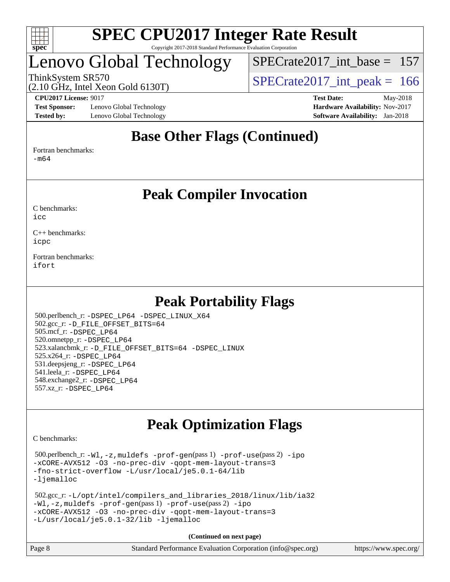

# Lenovo Global Technology

[SPECrate2017\\_int\\_base =](http://www.spec.org/auto/cpu2017/Docs/result-fields.html#SPECrate2017intbase) 157

ThinkSystem SR570<br>  $SPECTate2017$ \_int\_peak = 166

**[Test Sponsor:](http://www.spec.org/auto/cpu2017/Docs/result-fields.html#TestSponsor)** Lenovo Global Technology **[Hardware Availability:](http://www.spec.org/auto/cpu2017/Docs/result-fields.html#HardwareAvailability)** Nov-2017 **[Tested by:](http://www.spec.org/auto/cpu2017/Docs/result-fields.html#Testedby)** Lenovo Global Technology **[Software Availability:](http://www.spec.org/auto/cpu2017/Docs/result-fields.html#SoftwareAvailability)** Jan-2018

(2.10 GHz, Intel Xeon Gold 6130T)

**[CPU2017 License:](http://www.spec.org/auto/cpu2017/Docs/result-fields.html#CPU2017License)** 9017 **[Test Date:](http://www.spec.org/auto/cpu2017/Docs/result-fields.html#TestDate)** May-2018

# **[Base Other Flags \(Continued\)](http://www.spec.org/auto/cpu2017/Docs/result-fields.html#BaseOtherFlags)**

[Fortran benchmarks](http://www.spec.org/auto/cpu2017/Docs/result-fields.html#Fortranbenchmarks):

[-m64](http://www.spec.org/cpu2017/results/res2018q2/cpu2017-20180529-06361.flags.html#user_FCbase_intel_intel64_18.0_af43caccfc8ded86e7699f2159af6efc7655f51387b94da716254467f3c01020a5059329e2569e4053f409e7c9202a7efc638f7a6d1ffb3f52dea4a3e31d82ab)

**[Peak Compiler Invocation](http://www.spec.org/auto/cpu2017/Docs/result-fields.html#PeakCompilerInvocation)**

[C benchmarks](http://www.spec.org/auto/cpu2017/Docs/result-fields.html#Cbenchmarks):  $i$ cc

[C++ benchmarks:](http://www.spec.org/auto/cpu2017/Docs/result-fields.html#CXXbenchmarks) [icpc](http://www.spec.org/cpu2017/results/res2018q2/cpu2017-20180529-06361.flags.html#user_CXXpeak_intel_icpc_18.0_c510b6838c7f56d33e37e94d029a35b4a7bccf4766a728ee175e80a419847e808290a9b78be685c44ab727ea267ec2f070ec5dc83b407c0218cded6866a35d07)

[Fortran benchmarks](http://www.spec.org/auto/cpu2017/Docs/result-fields.html#Fortranbenchmarks): [ifort](http://www.spec.org/cpu2017/results/res2018q2/cpu2017-20180529-06361.flags.html#user_FCpeak_intel_ifort_18.0_8111460550e3ca792625aed983ce982f94888b8b503583aa7ba2b8303487b4d8a21a13e7191a45c5fd58ff318f48f9492884d4413fa793fd88dd292cad7027ca)

# **[Peak Portability Flags](http://www.spec.org/auto/cpu2017/Docs/result-fields.html#PeakPortabilityFlags)**

 500.perlbench\_r: [-DSPEC\\_LP64](http://www.spec.org/cpu2017/results/res2018q2/cpu2017-20180529-06361.flags.html#b500.perlbench_r_peakPORTABILITY_DSPEC_LP64) [-DSPEC\\_LINUX\\_X64](http://www.spec.org/cpu2017/results/res2018q2/cpu2017-20180529-06361.flags.html#b500.perlbench_r_peakCPORTABILITY_DSPEC_LINUX_X64) 502.gcc\_r: [-D\\_FILE\\_OFFSET\\_BITS=64](http://www.spec.org/cpu2017/results/res2018q2/cpu2017-20180529-06361.flags.html#user_peakPORTABILITY502_gcc_r_file_offset_bits_64_5ae949a99b284ddf4e95728d47cb0843d81b2eb0e18bdfe74bbf0f61d0b064f4bda2f10ea5eb90e1dcab0e84dbc592acfc5018bc955c18609f94ddb8d550002c) 505.mcf\_r: [-DSPEC\\_LP64](http://www.spec.org/cpu2017/results/res2018q2/cpu2017-20180529-06361.flags.html#suite_peakPORTABILITY505_mcf_r_DSPEC_LP64) 520.omnetpp\_r: [-DSPEC\\_LP64](http://www.spec.org/cpu2017/results/res2018q2/cpu2017-20180529-06361.flags.html#suite_peakPORTABILITY520_omnetpp_r_DSPEC_LP64) 523.xalancbmk\_r: [-D\\_FILE\\_OFFSET\\_BITS=64](http://www.spec.org/cpu2017/results/res2018q2/cpu2017-20180529-06361.flags.html#user_peakPORTABILITY523_xalancbmk_r_file_offset_bits_64_5ae949a99b284ddf4e95728d47cb0843d81b2eb0e18bdfe74bbf0f61d0b064f4bda2f10ea5eb90e1dcab0e84dbc592acfc5018bc955c18609f94ddb8d550002c) [-DSPEC\\_LINUX](http://www.spec.org/cpu2017/results/res2018q2/cpu2017-20180529-06361.flags.html#b523.xalancbmk_r_peakCXXPORTABILITY_DSPEC_LINUX) 525.x264\_r: [-DSPEC\\_LP64](http://www.spec.org/cpu2017/results/res2018q2/cpu2017-20180529-06361.flags.html#suite_peakPORTABILITY525_x264_r_DSPEC_LP64) 531.deepsjeng\_r: [-DSPEC\\_LP64](http://www.spec.org/cpu2017/results/res2018q2/cpu2017-20180529-06361.flags.html#suite_peakPORTABILITY531_deepsjeng_r_DSPEC_LP64) 541.leela\_r: [-DSPEC\\_LP64](http://www.spec.org/cpu2017/results/res2018q2/cpu2017-20180529-06361.flags.html#suite_peakPORTABILITY541_leela_r_DSPEC_LP64) 548.exchange2\_r: [-DSPEC\\_LP64](http://www.spec.org/cpu2017/results/res2018q2/cpu2017-20180529-06361.flags.html#suite_peakPORTABILITY548_exchange2_r_DSPEC_LP64) 557.xz\_r: [-DSPEC\\_LP64](http://www.spec.org/cpu2017/results/res2018q2/cpu2017-20180529-06361.flags.html#suite_peakPORTABILITY557_xz_r_DSPEC_LP64)

# **[Peak Optimization Flags](http://www.spec.org/auto/cpu2017/Docs/result-fields.html#PeakOptimizationFlags)**

[C benchmarks](http://www.spec.org/auto/cpu2017/Docs/result-fields.html#Cbenchmarks):

 500.perlbench\_r: [-Wl,-z,muldefs](http://www.spec.org/cpu2017/results/res2018q2/cpu2017-20180529-06361.flags.html#user_peakEXTRA_LDFLAGS500_perlbench_r_link_force_multiple1_b4cbdb97b34bdee9ceefcfe54f4c8ea74255f0b02a4b23e853cdb0e18eb4525ac79b5a88067c842dd0ee6996c24547a27a4b99331201badda8798ef8a743f577) [-prof-gen](http://www.spec.org/cpu2017/results/res2018q2/cpu2017-20180529-06361.flags.html#user_peakPASS1_CFLAGSPASS1_LDFLAGS500_perlbench_r_prof_gen_5aa4926d6013ddb2a31985c654b3eb18169fc0c6952a63635c234f711e6e63dd76e94ad52365559451ec499a2cdb89e4dc58ba4c67ef54ca681ffbe1461d6b36)(pass 1) [-prof-use](http://www.spec.org/cpu2017/results/res2018q2/cpu2017-20180529-06361.flags.html#user_peakPASS2_CFLAGSPASS2_LDFLAGS500_perlbench_r_prof_use_1a21ceae95f36a2b53c25747139a6c16ca95bd9def2a207b4f0849963b97e94f5260e30a0c64f4bb623698870e679ca08317ef8150905d41bd88c6f78df73f19)(pass 2) [-ipo](http://www.spec.org/cpu2017/results/res2018q2/cpu2017-20180529-06361.flags.html#user_peakPASS1_COPTIMIZEPASS2_COPTIMIZE500_perlbench_r_f-ipo) [-xCORE-AVX512](http://www.spec.org/cpu2017/results/res2018q2/cpu2017-20180529-06361.flags.html#user_peakPASS2_COPTIMIZE500_perlbench_r_f-xCORE-AVX512) [-O3](http://www.spec.org/cpu2017/results/res2018q2/cpu2017-20180529-06361.flags.html#user_peakPASS1_COPTIMIZEPASS2_COPTIMIZE500_perlbench_r_f-O3) [-no-prec-div](http://www.spec.org/cpu2017/results/res2018q2/cpu2017-20180529-06361.flags.html#user_peakPASS1_COPTIMIZEPASS2_COPTIMIZE500_perlbench_r_f-no-prec-div) [-qopt-mem-layout-trans=3](http://www.spec.org/cpu2017/results/res2018q2/cpu2017-20180529-06361.flags.html#user_peakPASS1_COPTIMIZEPASS2_COPTIMIZE500_perlbench_r_f-qopt-mem-layout-trans_de80db37974c74b1f0e20d883f0b675c88c3b01e9d123adea9b28688d64333345fb62bc4a798493513fdb68f60282f9a726aa07f478b2f7113531aecce732043) [-fno-strict-overflow](http://www.spec.org/cpu2017/results/res2018q2/cpu2017-20180529-06361.flags.html#user_peakEXTRA_OPTIMIZE500_perlbench_r_f-fno-strict-overflow) [-L/usr/local/je5.0.1-64/lib](http://www.spec.org/cpu2017/results/res2018q2/cpu2017-20180529-06361.flags.html#user_peakEXTRA_LIBS500_perlbench_r_jemalloc_link_path64_4b10a636b7bce113509b17f3bd0d6226c5fb2346b9178c2d0232c14f04ab830f976640479e5c33dc2bcbbdad86ecfb6634cbbd4418746f06f368b512fced5394) [-ljemalloc](http://www.spec.org/cpu2017/results/res2018q2/cpu2017-20180529-06361.flags.html#user_peakEXTRA_LIBS500_perlbench_r_jemalloc_link_lib_d1249b907c500fa1c0672f44f562e3d0f79738ae9e3c4a9c376d49f265a04b9c99b167ecedbf6711b3085be911c67ff61f150a17b3472be731631ba4d0471706)

```
 502.gcc_r: -L/opt/intel/compilers_and_libraries_2018/linux/lib/ia32
-Wl,-z,muldefs -prof-gen(pass 1) -prof-use(pass 2) -ipo
-xCORE-AVX512 -O3 -no-prec-div -qopt-mem-layout-trans=3
-L/usr/local/je5.0.1-32/lib -ljemalloc
```
**(Continued on next page)**

| Page 8 | Standard Performance Evaluation Corporation (info@spec.org) | https://www.spec.org/ |
|--------|-------------------------------------------------------------|-----------------------|
|--------|-------------------------------------------------------------|-----------------------|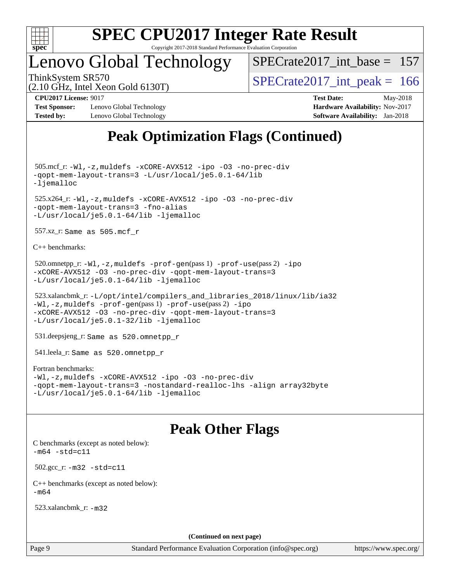

# Lenovo Global Technology

[SPECrate2017\\_int\\_base =](http://www.spec.org/auto/cpu2017/Docs/result-fields.html#SPECrate2017intbase) 157

(2.10 GHz, Intel Xeon Gold 6130T)

ThinkSystem SR570<br>  $\angle (2.10 \text{ GHz. Intel Yoon Gold } 6130 \text{T})$   $\angle$  [SPECrate2017\\_int\\_peak =](http://www.spec.org/auto/cpu2017/Docs/result-fields.html#SPECrate2017intpeak) 166

**[Test Sponsor:](http://www.spec.org/auto/cpu2017/Docs/result-fields.html#TestSponsor)** Lenovo Global Technology **[Hardware Availability:](http://www.spec.org/auto/cpu2017/Docs/result-fields.html#HardwareAvailability)** Nov-2017 **[Tested by:](http://www.spec.org/auto/cpu2017/Docs/result-fields.html#Testedby)** Lenovo Global Technology **[Software Availability:](http://www.spec.org/auto/cpu2017/Docs/result-fields.html#SoftwareAvailability)** Jan-2018

**[CPU2017 License:](http://www.spec.org/auto/cpu2017/Docs/result-fields.html#CPU2017License)** 9017 **[Test Date:](http://www.spec.org/auto/cpu2017/Docs/result-fields.html#TestDate)** May-2018

# **[Peak Optimization Flags \(Continued\)](http://www.spec.org/auto/cpu2017/Docs/result-fields.html#PeakOptimizationFlags)**

 505.mcf\_r: [-Wl,-z,muldefs](http://www.spec.org/cpu2017/results/res2018q2/cpu2017-20180529-06361.flags.html#user_peakEXTRA_LDFLAGS505_mcf_r_link_force_multiple1_b4cbdb97b34bdee9ceefcfe54f4c8ea74255f0b02a4b23e853cdb0e18eb4525ac79b5a88067c842dd0ee6996c24547a27a4b99331201badda8798ef8a743f577) [-xCORE-AVX512](http://www.spec.org/cpu2017/results/res2018q2/cpu2017-20180529-06361.flags.html#user_peakCOPTIMIZE505_mcf_r_f-xCORE-AVX512) [-ipo](http://www.spec.org/cpu2017/results/res2018q2/cpu2017-20180529-06361.flags.html#user_peakCOPTIMIZE505_mcf_r_f-ipo) [-O3](http://www.spec.org/cpu2017/results/res2018q2/cpu2017-20180529-06361.flags.html#user_peakCOPTIMIZE505_mcf_r_f-O3) [-no-prec-div](http://www.spec.org/cpu2017/results/res2018q2/cpu2017-20180529-06361.flags.html#user_peakCOPTIMIZE505_mcf_r_f-no-prec-div) [-qopt-mem-layout-trans=3](http://www.spec.org/cpu2017/results/res2018q2/cpu2017-20180529-06361.flags.html#user_peakCOPTIMIZE505_mcf_r_f-qopt-mem-layout-trans_de80db37974c74b1f0e20d883f0b675c88c3b01e9d123adea9b28688d64333345fb62bc4a798493513fdb68f60282f9a726aa07f478b2f7113531aecce732043) [-L/usr/local/je5.0.1-64/lib](http://www.spec.org/cpu2017/results/res2018q2/cpu2017-20180529-06361.flags.html#user_peakEXTRA_LIBS505_mcf_r_jemalloc_link_path64_4b10a636b7bce113509b17f3bd0d6226c5fb2346b9178c2d0232c14f04ab830f976640479e5c33dc2bcbbdad86ecfb6634cbbd4418746f06f368b512fced5394) [-ljemalloc](http://www.spec.org/cpu2017/results/res2018q2/cpu2017-20180529-06361.flags.html#user_peakEXTRA_LIBS505_mcf_r_jemalloc_link_lib_d1249b907c500fa1c0672f44f562e3d0f79738ae9e3c4a9c376d49f265a04b9c99b167ecedbf6711b3085be911c67ff61f150a17b3472be731631ba4d0471706) 525.x264\_r: [-Wl,-z,muldefs](http://www.spec.org/cpu2017/results/res2018q2/cpu2017-20180529-06361.flags.html#user_peakEXTRA_LDFLAGS525_x264_r_link_force_multiple1_b4cbdb97b34bdee9ceefcfe54f4c8ea74255f0b02a4b23e853cdb0e18eb4525ac79b5a88067c842dd0ee6996c24547a27a4b99331201badda8798ef8a743f577) [-xCORE-AVX512](http://www.spec.org/cpu2017/results/res2018q2/cpu2017-20180529-06361.flags.html#user_peakCOPTIMIZE525_x264_r_f-xCORE-AVX512) [-ipo](http://www.spec.org/cpu2017/results/res2018q2/cpu2017-20180529-06361.flags.html#user_peakCOPTIMIZE525_x264_r_f-ipo) [-O3](http://www.spec.org/cpu2017/results/res2018q2/cpu2017-20180529-06361.flags.html#user_peakCOPTIMIZE525_x264_r_f-O3) [-no-prec-div](http://www.spec.org/cpu2017/results/res2018q2/cpu2017-20180529-06361.flags.html#user_peakCOPTIMIZE525_x264_r_f-no-prec-div) [-qopt-mem-layout-trans=3](http://www.spec.org/cpu2017/results/res2018q2/cpu2017-20180529-06361.flags.html#user_peakCOPTIMIZE525_x264_r_f-qopt-mem-layout-trans_de80db37974c74b1f0e20d883f0b675c88c3b01e9d123adea9b28688d64333345fb62bc4a798493513fdb68f60282f9a726aa07f478b2f7113531aecce732043) [-fno-alias](http://www.spec.org/cpu2017/results/res2018q2/cpu2017-20180529-06361.flags.html#user_peakEXTRA_OPTIMIZE525_x264_r_f-no-alias_77dbac10d91cbfe898fbf4a29d1b29b694089caa623bdd1baccc9957d4edbe8d106c0b357e2748a65b44fc9e83d78098bb898077f3fe92f9faf24f7bd4a07ed7) [-L/usr/local/je5.0.1-64/lib](http://www.spec.org/cpu2017/results/res2018q2/cpu2017-20180529-06361.flags.html#user_peakEXTRA_LIBS525_x264_r_jemalloc_link_path64_4b10a636b7bce113509b17f3bd0d6226c5fb2346b9178c2d0232c14f04ab830f976640479e5c33dc2bcbbdad86ecfb6634cbbd4418746f06f368b512fced5394) [-ljemalloc](http://www.spec.org/cpu2017/results/res2018q2/cpu2017-20180529-06361.flags.html#user_peakEXTRA_LIBS525_x264_r_jemalloc_link_lib_d1249b907c500fa1c0672f44f562e3d0f79738ae9e3c4a9c376d49f265a04b9c99b167ecedbf6711b3085be911c67ff61f150a17b3472be731631ba4d0471706) 557.xz\_r: Same as 505.mcf\_r [C++ benchmarks:](http://www.spec.org/auto/cpu2017/Docs/result-fields.html#CXXbenchmarks) 520.omnetpp\_r: [-Wl,-z,muldefs](http://www.spec.org/cpu2017/results/res2018q2/cpu2017-20180529-06361.flags.html#user_peakEXTRA_LDFLAGS520_omnetpp_r_link_force_multiple1_b4cbdb97b34bdee9ceefcfe54f4c8ea74255f0b02a4b23e853cdb0e18eb4525ac79b5a88067c842dd0ee6996c24547a27a4b99331201badda8798ef8a743f577) [-prof-gen](http://www.spec.org/cpu2017/results/res2018q2/cpu2017-20180529-06361.flags.html#user_peakPASS1_CXXFLAGSPASS1_LDFLAGS520_omnetpp_r_prof_gen_5aa4926d6013ddb2a31985c654b3eb18169fc0c6952a63635c234f711e6e63dd76e94ad52365559451ec499a2cdb89e4dc58ba4c67ef54ca681ffbe1461d6b36)(pass 1) [-prof-use](http://www.spec.org/cpu2017/results/res2018q2/cpu2017-20180529-06361.flags.html#user_peakPASS2_CXXFLAGSPASS2_LDFLAGS520_omnetpp_r_prof_use_1a21ceae95f36a2b53c25747139a6c16ca95bd9def2a207b4f0849963b97e94f5260e30a0c64f4bb623698870e679ca08317ef8150905d41bd88c6f78df73f19)(pass 2) [-ipo](http://www.spec.org/cpu2017/results/res2018q2/cpu2017-20180529-06361.flags.html#user_peakPASS1_CXXOPTIMIZEPASS2_CXXOPTIMIZE520_omnetpp_r_f-ipo) [-xCORE-AVX512](http://www.spec.org/cpu2017/results/res2018q2/cpu2017-20180529-06361.flags.html#user_peakPASS2_CXXOPTIMIZE520_omnetpp_r_f-xCORE-AVX512) [-O3](http://www.spec.org/cpu2017/results/res2018q2/cpu2017-20180529-06361.flags.html#user_peakPASS1_CXXOPTIMIZEPASS2_CXXOPTIMIZE520_omnetpp_r_f-O3) [-no-prec-div](http://www.spec.org/cpu2017/results/res2018q2/cpu2017-20180529-06361.flags.html#user_peakPASS1_CXXOPTIMIZEPASS2_CXXOPTIMIZE520_omnetpp_r_f-no-prec-div) [-qopt-mem-layout-trans=3](http://www.spec.org/cpu2017/results/res2018q2/cpu2017-20180529-06361.flags.html#user_peakPASS1_CXXOPTIMIZEPASS2_CXXOPTIMIZE520_omnetpp_r_f-qopt-mem-layout-trans_de80db37974c74b1f0e20d883f0b675c88c3b01e9d123adea9b28688d64333345fb62bc4a798493513fdb68f60282f9a726aa07f478b2f7113531aecce732043) [-L/usr/local/je5.0.1-64/lib](http://www.spec.org/cpu2017/results/res2018q2/cpu2017-20180529-06361.flags.html#user_peakEXTRA_LIBS520_omnetpp_r_jemalloc_link_path64_4b10a636b7bce113509b17f3bd0d6226c5fb2346b9178c2d0232c14f04ab830f976640479e5c33dc2bcbbdad86ecfb6634cbbd4418746f06f368b512fced5394) [-ljemalloc](http://www.spec.org/cpu2017/results/res2018q2/cpu2017-20180529-06361.flags.html#user_peakEXTRA_LIBS520_omnetpp_r_jemalloc_link_lib_d1249b907c500fa1c0672f44f562e3d0f79738ae9e3c4a9c376d49f265a04b9c99b167ecedbf6711b3085be911c67ff61f150a17b3472be731631ba4d0471706) 523.xalancbmk\_r: [-L/opt/intel/compilers\\_and\\_libraries\\_2018/linux/lib/ia32](http://www.spec.org/cpu2017/results/res2018q2/cpu2017-20180529-06361.flags.html#user_peakCXXLD523_xalancbmk_r_Enable-32bit-runtime_af243bdb1d79e4c7a4f720bf8275e627de2ecd461de63307bc14cef0633fde3cd7bb2facb32dcc8be9566045fb55d40ce2b72b725f73827aa7833441b71b9343) [-Wl,-z,muldefs](http://www.spec.org/cpu2017/results/res2018q2/cpu2017-20180529-06361.flags.html#user_peakEXTRA_LDFLAGS523_xalancbmk_r_link_force_multiple1_b4cbdb97b34bdee9ceefcfe54f4c8ea74255f0b02a4b23e853cdb0e18eb4525ac79b5a88067c842dd0ee6996c24547a27a4b99331201badda8798ef8a743f577) [-prof-gen](http://www.spec.org/cpu2017/results/res2018q2/cpu2017-20180529-06361.flags.html#user_peakPASS1_CXXFLAGSPASS1_LDFLAGS523_xalancbmk_r_prof_gen_5aa4926d6013ddb2a31985c654b3eb18169fc0c6952a63635c234f711e6e63dd76e94ad52365559451ec499a2cdb89e4dc58ba4c67ef54ca681ffbe1461d6b36)(pass 1) [-prof-use](http://www.spec.org/cpu2017/results/res2018q2/cpu2017-20180529-06361.flags.html#user_peakPASS2_CXXFLAGSPASS2_LDFLAGS523_xalancbmk_r_prof_use_1a21ceae95f36a2b53c25747139a6c16ca95bd9def2a207b4f0849963b97e94f5260e30a0c64f4bb623698870e679ca08317ef8150905d41bd88c6f78df73f19)(pass 2) [-ipo](http://www.spec.org/cpu2017/results/res2018q2/cpu2017-20180529-06361.flags.html#user_peakPASS1_CXXOPTIMIZEPASS2_CXXOPTIMIZE523_xalancbmk_r_f-ipo) [-xCORE-AVX512](http://www.spec.org/cpu2017/results/res2018q2/cpu2017-20180529-06361.flags.html#user_peakPASS2_CXXOPTIMIZE523_xalancbmk_r_f-xCORE-AVX512) [-O3](http://www.spec.org/cpu2017/results/res2018q2/cpu2017-20180529-06361.flags.html#user_peakPASS1_CXXOPTIMIZEPASS2_CXXOPTIMIZE523_xalancbmk_r_f-O3) [-no-prec-div](http://www.spec.org/cpu2017/results/res2018q2/cpu2017-20180529-06361.flags.html#user_peakPASS1_CXXOPTIMIZEPASS2_CXXOPTIMIZE523_xalancbmk_r_f-no-prec-div) [-qopt-mem-layout-trans=3](http://www.spec.org/cpu2017/results/res2018q2/cpu2017-20180529-06361.flags.html#user_peakPASS1_CXXOPTIMIZEPASS2_CXXOPTIMIZE523_xalancbmk_r_f-qopt-mem-layout-trans_de80db37974c74b1f0e20d883f0b675c88c3b01e9d123adea9b28688d64333345fb62bc4a798493513fdb68f60282f9a726aa07f478b2f7113531aecce732043) [-L/usr/local/je5.0.1-32/lib](http://www.spec.org/cpu2017/results/res2018q2/cpu2017-20180529-06361.flags.html#user_peakEXTRA_LIBS523_xalancbmk_r_jemalloc_link_path32_e29f22e8e6c17053bbc6a0971f5a9c01a601a06bb1a59df2084b77a2fe0a2995b64fd4256feaeea39eeba3aae142e96e2b2b0a28974019c0c0c88139a84f900a) [-ljemalloc](http://www.spec.org/cpu2017/results/res2018q2/cpu2017-20180529-06361.flags.html#user_peakEXTRA_LIBS523_xalancbmk_r_jemalloc_link_lib_d1249b907c500fa1c0672f44f562e3d0f79738ae9e3c4a9c376d49f265a04b9c99b167ecedbf6711b3085be911c67ff61f150a17b3472be731631ba4d0471706) 531.deepsjeng\_r: Same as 520.omnetpp\_r

541.leela\_r: Same as 520.omnetpp\_r

#### [Fortran benchmarks](http://www.spec.org/auto/cpu2017/Docs/result-fields.html#Fortranbenchmarks):

[-Wl,-z,muldefs](http://www.spec.org/cpu2017/results/res2018q2/cpu2017-20180529-06361.flags.html#user_FCpeak_link_force_multiple1_b4cbdb97b34bdee9ceefcfe54f4c8ea74255f0b02a4b23e853cdb0e18eb4525ac79b5a88067c842dd0ee6996c24547a27a4b99331201badda8798ef8a743f577) [-xCORE-AVX512](http://www.spec.org/cpu2017/results/res2018q2/cpu2017-20180529-06361.flags.html#user_FCpeak_f-xCORE-AVX512) [-ipo](http://www.spec.org/cpu2017/results/res2018q2/cpu2017-20180529-06361.flags.html#user_FCpeak_f-ipo) [-O3](http://www.spec.org/cpu2017/results/res2018q2/cpu2017-20180529-06361.flags.html#user_FCpeak_f-O3) [-no-prec-div](http://www.spec.org/cpu2017/results/res2018q2/cpu2017-20180529-06361.flags.html#user_FCpeak_f-no-prec-div) [-qopt-mem-layout-trans=3](http://www.spec.org/cpu2017/results/res2018q2/cpu2017-20180529-06361.flags.html#user_FCpeak_f-qopt-mem-layout-trans_de80db37974c74b1f0e20d883f0b675c88c3b01e9d123adea9b28688d64333345fb62bc4a798493513fdb68f60282f9a726aa07f478b2f7113531aecce732043) [-nostandard-realloc-lhs](http://www.spec.org/cpu2017/results/res2018q2/cpu2017-20180529-06361.flags.html#user_FCpeak_f_2003_std_realloc_82b4557e90729c0f113870c07e44d33d6f5a304b4f63d4c15d2d0f1fab99f5daaed73bdb9275d9ae411527f28b936061aa8b9c8f2d63842963b95c9dd6426b8a) [-align array32byte](http://www.spec.org/cpu2017/results/res2018q2/cpu2017-20180529-06361.flags.html#user_FCpeak_align_array32byte_b982fe038af199962ba9a80c053b8342c548c85b40b8e86eb3cc33dee0d7986a4af373ac2d51c3f7cf710a18d62fdce2948f201cd044323541f22fc0fffc51b6) [-L/usr/local/je5.0.1-64/lib](http://www.spec.org/cpu2017/results/res2018q2/cpu2017-20180529-06361.flags.html#user_FCpeak_jemalloc_link_path64_4b10a636b7bce113509b17f3bd0d6226c5fb2346b9178c2d0232c14f04ab830f976640479e5c33dc2bcbbdad86ecfb6634cbbd4418746f06f368b512fced5394) [-ljemalloc](http://www.spec.org/cpu2017/results/res2018q2/cpu2017-20180529-06361.flags.html#user_FCpeak_jemalloc_link_lib_d1249b907c500fa1c0672f44f562e3d0f79738ae9e3c4a9c376d49f265a04b9c99b167ecedbf6711b3085be911c67ff61f150a17b3472be731631ba4d0471706)

### **[Peak Other Flags](http://www.spec.org/auto/cpu2017/Docs/result-fields.html#PeakOtherFlags)**

[C benchmarks \(except as noted below\)](http://www.spec.org/auto/cpu2017/Docs/result-fields.html#Cbenchmarksexceptasnotedbelow):  $-m64 - std= c11$  $-m64 - std= c11$  502.gcc\_r: [-m32](http://www.spec.org/cpu2017/results/res2018q2/cpu2017-20180529-06361.flags.html#user_peakCCLD502_gcc_r_intel_ia32_18.0_2666f1173eb60787016b673bfe1358e27016ef7649ea4884b7bc6187fd89dc221d14632e22638cde1c647a518de97358ab15d4ad098ee4e19a8b28d0c25e14bf) [-std=c11](http://www.spec.org/cpu2017/results/res2018q2/cpu2017-20180529-06361.flags.html#user_peakCCLD502_gcc_r_intel_compiler_c11_mode_0e1c27790398a4642dfca32ffe6c27b5796f9c2d2676156f2e42c9c44eaad0c049b1cdb667a270c34d979996257aeb8fc440bfb01818dbc9357bd9d174cb8524) [C++ benchmarks \(except as noted below\):](http://www.spec.org/auto/cpu2017/Docs/result-fields.html#CXXbenchmarksexceptasnotedbelow)  $-m64$ 

523.xalancbmk\_r: [-m32](http://www.spec.org/cpu2017/results/res2018q2/cpu2017-20180529-06361.flags.html#user_peakCXXLD523_xalancbmk_r_intel_ia32_18.0_2666f1173eb60787016b673bfe1358e27016ef7649ea4884b7bc6187fd89dc221d14632e22638cde1c647a518de97358ab15d4ad098ee4e19a8b28d0c25e14bf)

**(Continued on next page)**